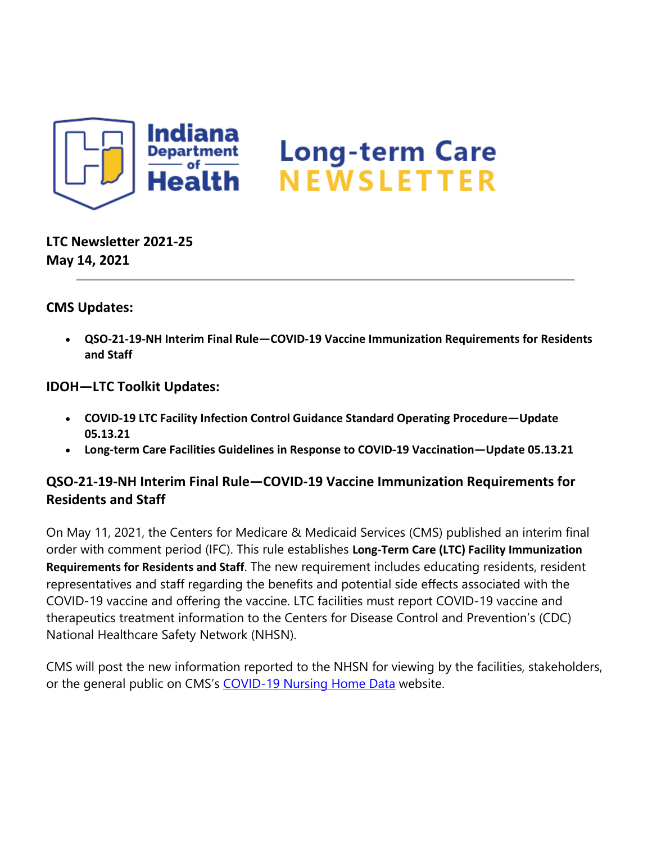

**LTC Newsletter 2021-25 May 14, 2021**

### **CMS Updates:**

• **QSO-21-19-NH Interim Final Rule—COVID-19 Vaccine Immunization Requirements for Residents and Staff**

#### **IDOH—LTC Toolkit Updates:**

- **COVID-19 LTC Facility Infection Control Guidance Standard Operating Procedure—Update 05.13.21**
- **Long-term Care Facilities Guidelines in Response to COVID-19 Vaccination—Update 05.13.21**

### **QSO-21-19-NH Interim Final Rule—COVID-19 Vaccine Immunization Requirements for Residents and Staff**

On May 11, 2021, the Centers for Medicare & Medicaid Services (CMS) published an interim final order with comment period (IFC). This rule establishes **Long-Term Care (LTC) Facility Immunization Requirements for Residents and Staff**. The new requirement includes educating residents, resident representatives and staff regarding the benefits and potential side effects associated with the COVID-19 vaccine and offering the vaccine. LTC facilities must report COVID-19 vaccine and therapeutics treatment information to the Centers for Disease Control and Prevention's (CDC) National Healthcare Safety Network (NHSN).

CMS will post the new information reported to the NHSN for viewing by the facilities, stakeholders, or the general public on CMS's [COVID-19 Nursing Home Data](https://lnks.gd/l/eyJhbGciOiJIUzI1NiJ9.eyJidWxsZXRpbl9saW5rX2lkIjoxMDAsInVyaSI6ImJwMjpjbGljayIsImJ1bGxldGluX2lkIjoiMjAyMTA1MTQuNDA0ODU4MTEiLCJ1cmwiOiJodHRwczovL2RhdGEuY21zLmdvdi9zdG9yaWVzL3MvQ09WSUQtMTktTnVyc2luZy1Ib21lLURhdGEvYmt3ei14cHZnLyJ9.8QGfJhEjnz4-9rP8eZTY1glHWQDvnrNE4aTDTi4R4Qo/s/1439130268/br/106400081744-l) website.